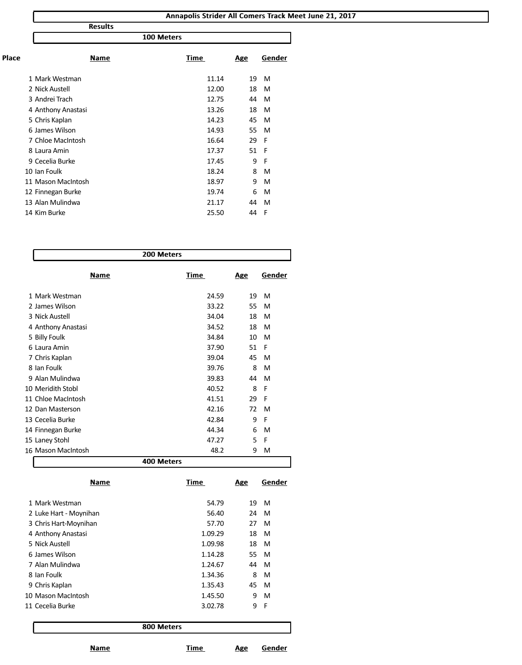## Annapolis Strider All Comers Track Meet June 21, 2017 **Results**

100 Meters

| <b>Place</b> | <b>Name</b>        | <u>Time</u> | <u>Age</u> | <b>Gender</b> |
|--------------|--------------------|-------------|------------|---------------|
|              | 1 Mark Westman     | 11.14       | 19         | M             |
|              | 2 Nick Austell     | 12.00       | 18         | M             |
|              | 3 Andrei Trach     | 12.75       | 44         | M             |
|              | 4 Anthony Anastasi | 13.26       | 18         | M             |
|              | 5 Chris Kaplan     | 14.23       | 45         | M             |
|              | 6 James Wilson     | 14.93       | 55         | M             |
|              | 7 Chloe MacIntosh  | 16.64       | 29         | - F           |
|              | 8 Laura Amin       | 17.37       | 51         | -F            |
|              | 9 Cecelia Burke    | 17.45       | 9          | F             |
|              | 10 Ian Foulk       | 18.24       | 8          | M             |
|              | 11 Mason MacIntosh | 18.97       | 9          | M             |
|              | 12 Finnegan Burke  | 19.74       | 6          | M             |
|              | 13 Alan Mulindwa   | 21.17       | 44         | M             |
|              | 14 Kim Burke       | 25.50       | 44         | F             |

|                        | 200 Meters        |            |               |
|------------------------|-------------------|------------|---------------|
| <u>Name</u>            | <b>Time</b>       | <u>Age</u> | <b>Gender</b> |
| 1 Mark Westman         | 24.59             | 19         | M             |
| 2 James Wilson         | 33.22             | 55         | M             |
| 3 Nick Austell         | 34.04             | 18         | M             |
| 4 Anthony Anastasi     | 34.52             | 18         | M             |
| 5 Billy Foulk          | 34.84             | 10         | M             |
| 6 Laura Amin           | 37.90             | 51         | F             |
| 7 Chris Kaplan         | 39.04             | 45         | M             |
| 8 Ian Foulk            | 39.76             | 8          | M             |
| 9 Alan Mulindwa        | 39.83             | 44         | M             |
| 10 Meridith Stobl      | 40.52             | 8          | F             |
| 11 Chloe MacIntosh     | 41.51             | 29         | F             |
| 12 Dan Masterson       | 42.16             | 72         | M             |
| 13 Cecelia Burke       | 42.84             | 9          | F             |
| 14 Finnegan Burke      | 44.34             | 6          | M             |
| 15 Laney Stohl         | 47.27             | 5          | F             |
| 16 Mason MacIntosh     | 48.2              | 9          | M             |
|                        | <b>400 Meters</b> |            |               |
| <b>Name</b>            | <u>Time</u>       | <u>Age</u> | <u>Gender</u> |
| 1 Mark Westman         | 54.79             | 19         | M             |
| 2 Luke Hart - Moynihan | 56.40             | 24         | M             |
| 3 Chris Hart-Moynihan  | 57.70             | 27         | M             |
| 4 Anthony Anastasi     | 1.09.29           | 18         | M             |
| 5 Nick Austell         | 1.09.98           | 18         | M             |
| 6 James Wilson         | 1.14.28           | 55         | M             |
| 7 Alan Mulindwa        | 1.24.67           | 44         | M             |
| 8 Ian Foulk            | 1.34.36           | 8          | M             |
| 9 Chris Kaplan         | 1.35.43           | 45         | M             |
| 10 Mason MacIntosh     | 1.45.50           | 9          | M             |
| 11 Cecelia Burke       | 3.02.78           | 9          | $\mathsf{F}$  |

800 Meters



Name Time Age Gender